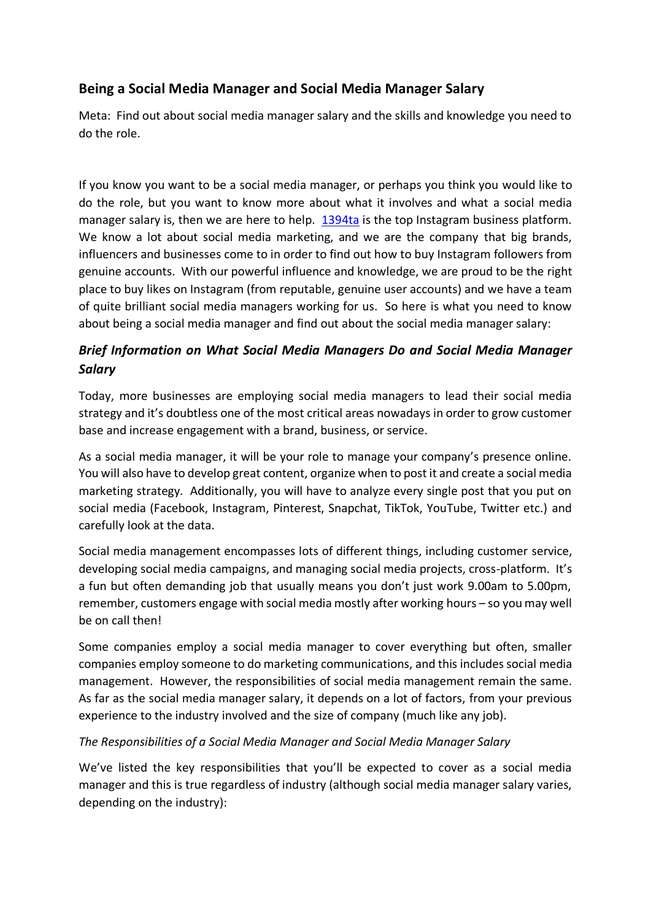# **Being a Social Media Manager and Social Media Manager Salary**

Meta: Find out about social media manager salary and the skills and knowledge you need to do the role.

If you know you want to be a social media manager, or perhaps you think you would like to do the role, but you want to know more about what it involves and what a social media manager salary is, then we are here to help. [1394ta](https://1394ta.org/) is the top Instagram business platform. We know a lot about social media marketing, and we are the company that big brands, influencers and businesses come to in order to find out how to buy Instagram followers from genuine accounts. With our powerful influence and knowledge, we are proud to be the right place to buy likes on Instagram (from reputable, genuine user accounts) and we have a team of quite brilliant social media managers working for us. So here is what you need to know about being a social media manager and find out about the social media manager salary:

# *Brief Information on What Social Media Managers Do and Social Media Manager Salary*

Today, more businesses are employing social media managers to lead their social media strategy and it's doubtless one of the most critical areas nowadays in order to grow customer base and increase engagement with a brand, business, or service.

As a social media manager, it will be your role to manage your company's presence online. You will also have to develop great content, organize when to post it and create a social media marketing strategy. Additionally, you will have to analyze every single post that you put on social media (Facebook, Instagram, Pinterest, Snapchat, TikTok, YouTube, Twitter etc.) and carefully look at the data.

Social media management encompasses lots of different things, including customer service, developing social media campaigns, and managing social media projects, cross-platform. It's a fun but often demanding job that usually means you don't just work 9.00am to 5.00pm, remember, customers engage with social media mostly after working hours – so you may well be on call then!

Some companies employ a social media manager to cover everything but often, smaller companies employ someone to do marketing communications, and this includes social media management. However, the responsibilities of social media management remain the same. As far as the social media manager salary, it depends on a lot of factors, from your previous experience to the industry involved and the size of company (much like any job).

## *The Responsibilities of a Social Media Manager and Social Media Manager Salary*

We've listed the key responsibilities that you'll be expected to cover as a social media manager and this is true regardless of industry (although social media manager salary varies, depending on the industry):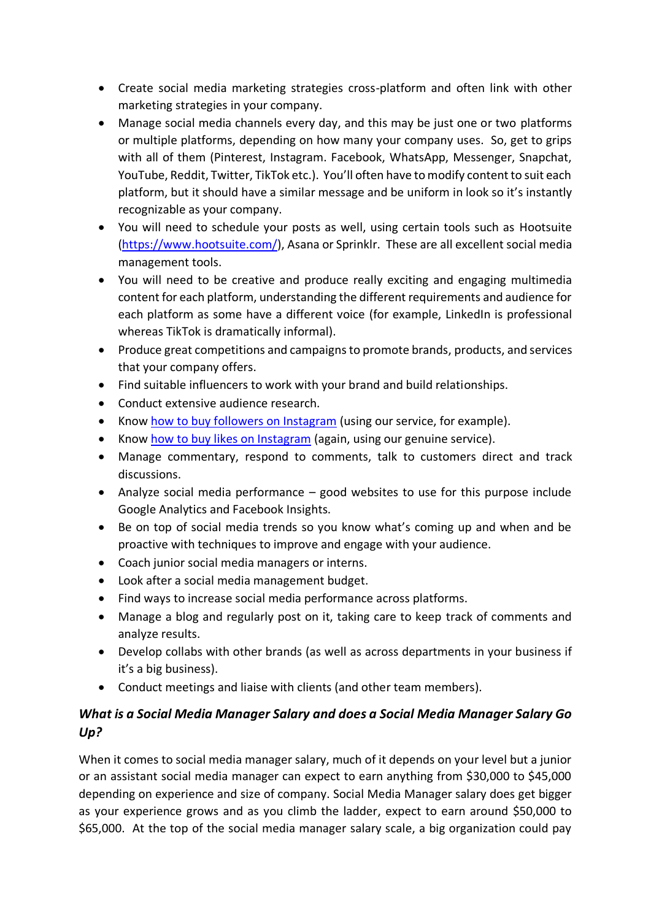- Create social media marketing strategies cross-platform and often link with other marketing strategies in your company.
- Manage social media channels every day, and this may be just one or two platforms or multiple platforms, depending on how many your company uses. So, get to grips with all of them (Pinterest, Instagram. Facebook, WhatsApp, Messenger, Snapchat, YouTube, Reddit, Twitter, TikTok etc.). You'll often have to modify content to suit each platform, but it should have a similar message and be uniform in look so it's instantly recognizable as your company.
- You will need to schedule your posts as well, using certain tools such as Hootsuite [\(https://www.hootsuite.com/\)](https://www.hootsuite.com/), Asana or Sprinklr. These are all excellent social media management tools.
- You will need to be creative and produce really exciting and engaging multimedia content for each platform, understanding the different requirements and audience for each platform as some have a different voice (for example, LinkedIn is professional whereas TikTok is dramatically informal).
- Produce great competitions and campaigns to promote brands, products, and services that your company offers.
- Find suitable influencers to work with your brand and build relationships.
- Conduct extensive audience research.
- Know [how to buy followers on Instagram](https://1394ta.org/buy-instagram-followers/) (using our service, for example).
- Know [how to buy likes on Instagram](https://1394ta.org/buy-instagram-likes/) (again, using our genuine service).
- Manage commentary, respond to comments, talk to customers direct and track discussions.
- Analyze social media performance good websites to use for this purpose include Google Analytics and Facebook Insights.
- Be on top of social media trends so you know what's coming up and when and be proactive with techniques to improve and engage with your audience.
- Coach junior social media managers or interns.
- Look after a social media management budget.
- Find ways to increase social media performance across platforms.
- Manage a blog and regularly post on it, taking care to keep track of comments and analyze results.
- Develop collabs with other brands (as well as across departments in your business if it's a big business).
- Conduct meetings and liaise with clients (and other team members).

# *What is a Social Media Manager Salary and does a Social Media Manager Salary Go Up?*

When it comes to social media manager salary, much of it depends on your level but a junior or an assistant social media manager can expect to earn anything from \$30,000 to \$45,000 depending on experience and size of company. Social Media Manager salary does get bigger as your experience grows and as you climb the ladder, expect to earn around \$50,000 to \$65,000. At the top of the social media manager salary scale, a big organization could pay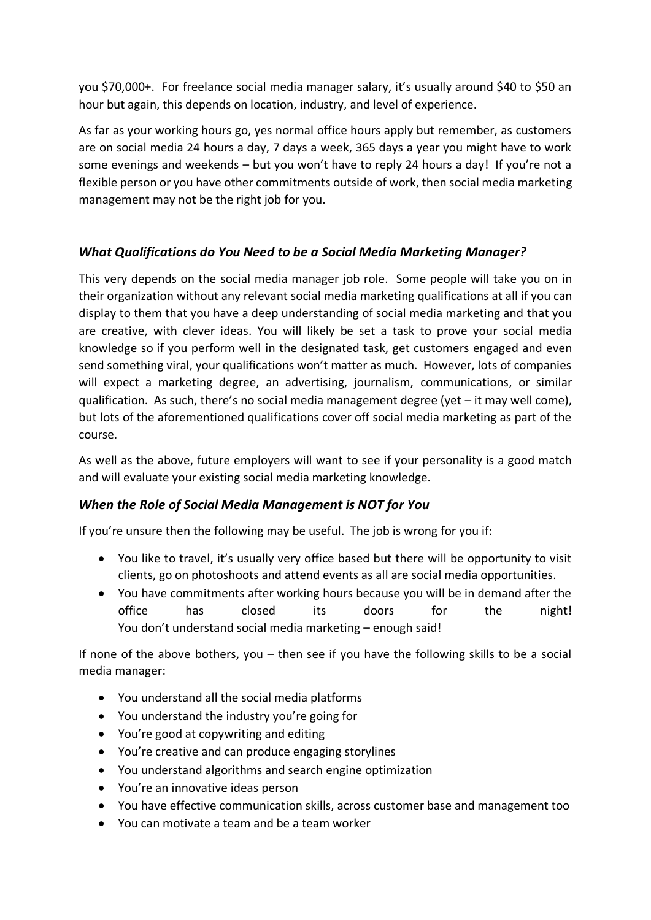you \$70,000+. For freelance social media manager salary, it's usually around \$40 to \$50 an hour but again, this depends on location, industry, and level of experience.

As far as your working hours go, yes normal office hours apply but remember, as customers are on social media 24 hours a day, 7 days a week, 365 days a year you might have to work some evenings and weekends – but you won't have to reply 24 hours a day! If you're not a flexible person or you have other commitments outside of work, then social media marketing management may not be the right job for you.

## *What Qualifications do You Need to be a Social Media Marketing Manager?*

This very depends on the social media manager job role. Some people will take you on in their organization without any relevant social media marketing qualifications at all if you can display to them that you have a deep understanding of social media marketing and that you are creative, with clever ideas. You will likely be set a task to prove your social media knowledge so if you perform well in the designated task, get customers engaged and even send something viral, your qualifications won't matter as much. However, lots of companies will expect a marketing degree, an advertising, journalism, communications, or similar qualification. As such, there's no social media management degree (yet – it may well come), but lots of the aforementioned qualifications cover off social media marketing as part of the course.

As well as the above, future employers will want to see if your personality is a good match and will evaluate your existing social media marketing knowledge.

## *When the Role of Social Media Management is NOT for You*

If you're unsure then the following may be useful. The job is wrong for you if:

- You like to travel, it's usually very office based but there will be opportunity to visit clients, go on photoshoots and attend events as all are social media opportunities.
- You have commitments after working hours because you will be in demand after the office has closed its doors for the night! You don't understand social media marketing – enough said!

If none of the above bothers, you – then see if you have the following skills to be a social media manager:

- You understand all the social media platforms
- You understand the industry you're going for
- You're good at copywriting and editing
- You're creative and can produce engaging storylines
- You understand algorithms and search engine optimization
- You're an innovative ideas person
- You have effective communication skills, across customer base and management too
- You can motivate a team and be a team worker